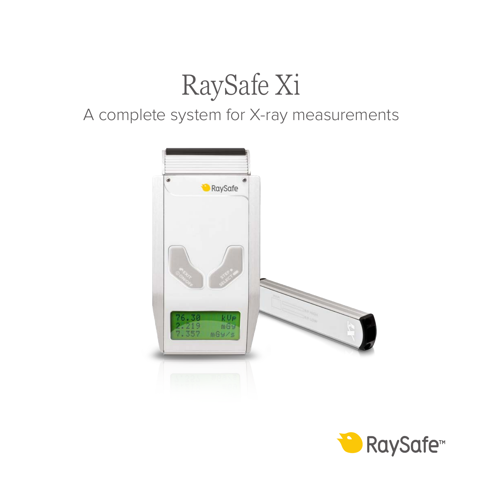# RaySafe Xi

### A complete system for X-ray measurements



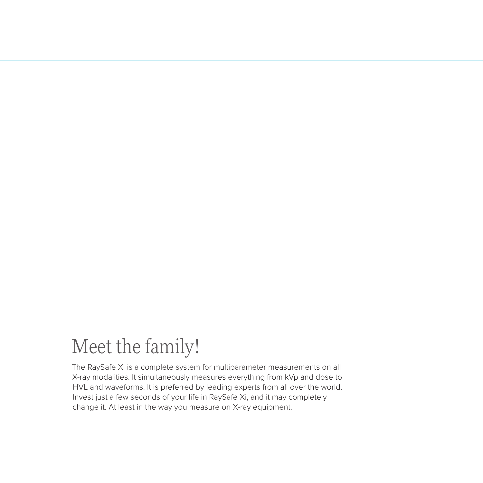### Meet the family!

The RaySafe Xi is a complete system for multiparameter measurements on all X-ray modalities. It simultaneously measures everything from kVp and dose to HVL and waveforms. It is preferred by leading experts from all over the world. Invest just a few seconds of your life in RaySafe Xi, and it may completely change it. At least in the way you measure on X-ray equipment.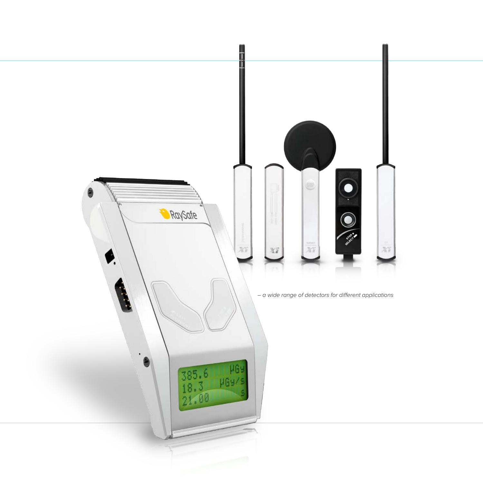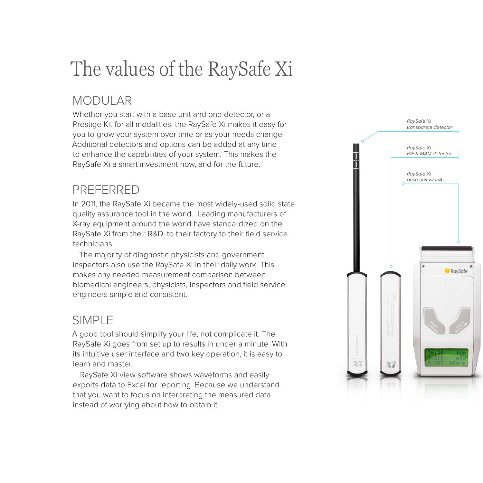## The values of the RaySafe Xi

#### MODULAR

Whether you start with a base unit and one detector, or a Prestige Kit for all modalities, the RaySafe Xi makes it easy for you to grow your system over time or as your needs change. Additional detectors and options can be added at any time to enhance the capabilities of your system. This makes the RaySafe Xi a smart investment now, and for the future.

#### PREFERRED

In 2011, the RaySafe Xi became the most widely-used solid state quality assurance tool in the world. Leading manufacturers of X-ray equipment around the world have standardized on the RaySafe Xi from their R&D, to their factory to their field service technicians.

The majority of diagnostic physicists and government inspectors also use the RaySafe Xi in their daily work. This makes any needed measurement comparison between biomedical engineers, physicists, inspectors and field service engineers simple and consistent.

#### SIMPLE

A good tool should simplify your life, not complicate it. The RaySafe Xi goes from set up to results in under a minute. With its intuitive user interface and two key operation, it is easy to learn and master.

RaySafe Xi view software shows waveforms and easily exports data to Excel for reporting. Because we understand that you want to focus on interpreting the measured data instead of worrying about how to obtain it.

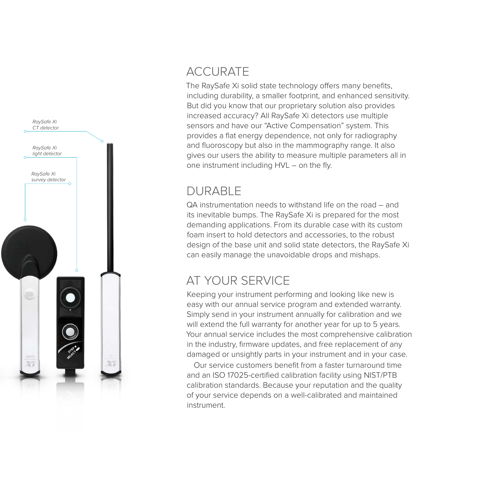

#### ACCURATE

The RaySafe Xi solid state technology offers many benefits, including durability, a smaller footprint, and enhanced sensitivity. But did you know that our proprietary solution also provides increased accuracy? All RaySafe Xi detectors use multiple sensors and have our "Active Compensation" system. This provides a flat energy dependence, not only for radiography and fluoroscopy but also in the mammography range. It also gives our users the ability to measure multiple parameters all in one instrument including HVL – on the fly.

#### DURABLE

QA instrumentation needs to withstand life on the road – and its inevitable bumps. The RaySafe Xi is prepared for the most demanding applications. From its durable case with its custom foam insert to hold detectors and accessories, to the robust design of the base unit and solid state detectors, the RaySafe Xi can easily manage the unavoidable drops and mishaps.

#### AT YOUR SERVICE

Keeping your instrument performing and looking like new is easy with our annual service program and extended warranty. Simply send in your instrument annually for calibration and we will extend the full warranty for another year for up to 5 years. Your annual service includes the most comprehensive calibration in the industry, firmware updates, and free replacement of any damaged or unsightly parts in your instrument and in your case.

Our service customers benefit from a faster turnaround time and an ISO 17025-certified calibration facility using NIST/PTB calibration standards. Because your reputation and the quality of your service depends on a well-calibrated and maintained instrument.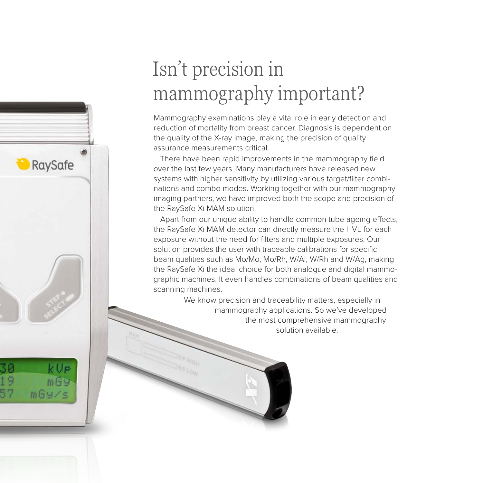### Isn't precision in mammography important?

RaySafe

k Up  $m$  $G$  $mgy/s$ 

Mammography examinations play a vital role in early detection and reduction of mortality from breast cancer. Diagnosis is dependent on the quality of the X-ray image, making the precision of quality assurance measurements critical.

There have been rapid improvements in the mammography field over the last few years. Many manufacturers have released new systems with higher sensitivity by utilizing various target/filter combinations and combo modes. Working together with our mammography imaging partners, we have improved both the scope and precision of the RaySafe Xi MAM solution.

Apart from our unique ability to handle common tube ageing effects, the RaySafe Xi MAM detector can directly measure the HVL for each exposure without the need for filters and multiple exposures. Our solution provides the user with traceable calibrations for specific beam qualities such as Mo/Mo, Mo/Rh, W/Al, W/Rh and W/Ag, making the RaySafe Xi the ideal choice for both analogue and digital mammographic machines. It even handles combinations of beam qualities and scanning machines.

> We know precision and traceability matters, especially in mammography applications. So we've developed the most comprehensive mammography solution available.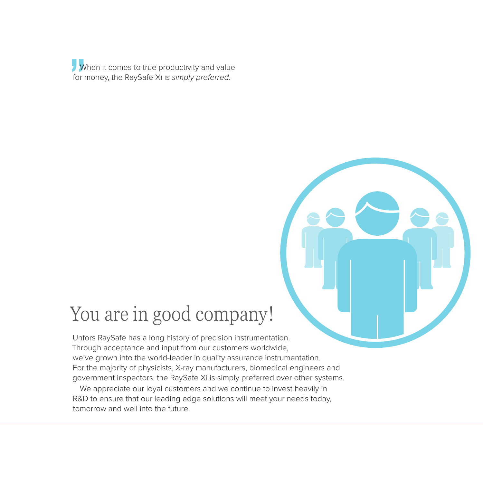When it comes to true productivity and value for money, the RaySafe Xi is *simply preferred.*

### You are in good company!

Unfors RaySafe has a long history of precision instrumentation. Through acceptance and input from our customers worldwide, we've grown into the world-leader in quality assurance instrumentation. For the majority of physicists, X-ray manufacturers, biomedical engineers and government inspectors, the RaySafe Xi is simply preferred over other systems.

We appreciate our loyal customers and we continue to invest heavily in R&D to ensure that our leading edge solutions will meet your needs today, tomorrow and well into the future.